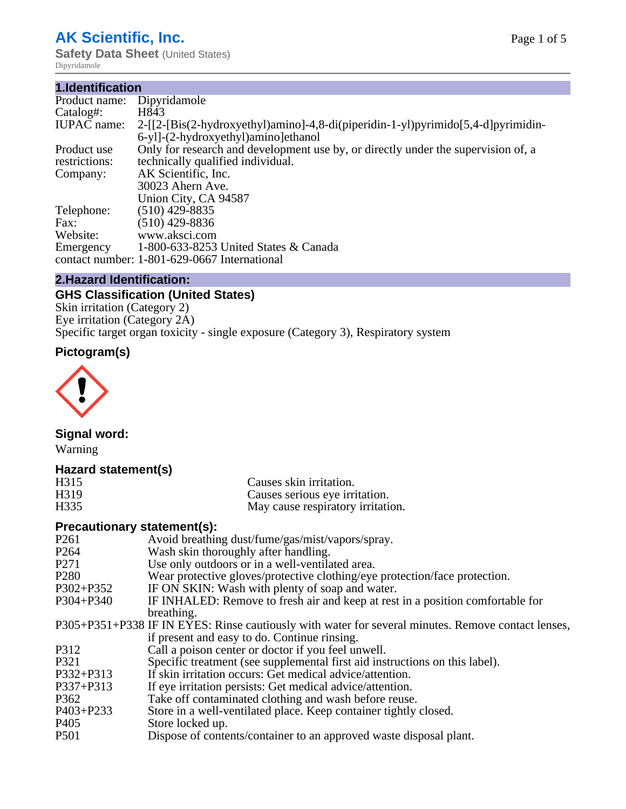# **AK Scientific, Inc.**

**Safety Data Sheet** (United States) Dipyridamole

#### **1.Identification** Product name: Dipyridamole<br>Catalog#: H843 Catalog#:<br>IUPAC name: 2-[[2-[Bis(2-hydroxyethyl)amino]-4,8-di(piperidin-1-yl)pyrimido[5,4-d]pyrimidin-6-yl]-(2-hydroxyethyl)amino]ethanol Product use restrictions: Only for research and development use by, or directly under the supervision of, a technically qualified individual. Company: AK Scientific, Inc. 30023 Ahern Ave. Union City, CA 94587 Telephone: (510) 429-8835<br>Fax: (510) 429-8836 Fax: (510) 429-8836<br>Website: www.aksci.com www.aksci.com Emergency contact number: 1-801-629-0667 International 1-800-633-8253 United States & Canada

# **2.Hazard Identification:**

# **GHS Classification (United States)**

Skin irritation (Category 2) Eye irritation (Category 2A) Specific target organ toxicity - single exposure (Category 3), Respiratory system

# **Pictogram(s)**



# **Signal word:**

Warning

# **Hazard statement(s)**

| H315              | Causes skin irritation.           |
|-------------------|-----------------------------------|
| H <sub>3</sub> 19 | Causes serious eye irritation.    |
| H335              | May cause respiratory irritation. |

# **Precautionary statement(s):**

| P <sub>261</sub> | Avoid breathing dust/fume/gas/mist/vapors/spray.                                                   |
|------------------|----------------------------------------------------------------------------------------------------|
| P <sub>264</sub> | Wash skin thoroughly after handling.                                                               |
| P <sub>271</sub> | Use only outdoors or in a well-ventilated area.                                                    |
| P <sub>280</sub> | Wear protective gloves/protective clothing/eye protection/face protection.                         |
| P302+P352        | IF ON SKIN: Wash with plenty of soap and water.                                                    |
| $P304 + P340$    | IF INHALED: Remove to fresh air and keep at rest in a position comfortable for                     |
|                  | breathing.                                                                                         |
|                  | P305+P351+P338 IF IN EYES: Rinse cautiously with water for several minutes. Remove contact lenses, |
|                  | if present and easy to do. Continue rinsing.                                                       |
| P312             | Call a poison center or doctor if you feel unwell.                                                 |
| P321             | Specific treatment (see supplemental first aid instructions on this label).                        |
| P332+P313        | If skin irritation occurs: Get medical advice/attention.                                           |
| $P337 + P313$    | If eye irritation persists: Get medical advice/attention.                                          |
| P362             | Take off contaminated clothing and wash before reuse.                                              |
| $P403 + P233$    | Store in a well-ventilated place. Keep container tightly closed.                                   |
| P <sub>405</sub> | Store locked up.                                                                                   |
| P <sub>501</sub> | Dispose of contents/container to an approved waste disposal plant.                                 |
|                  |                                                                                                    |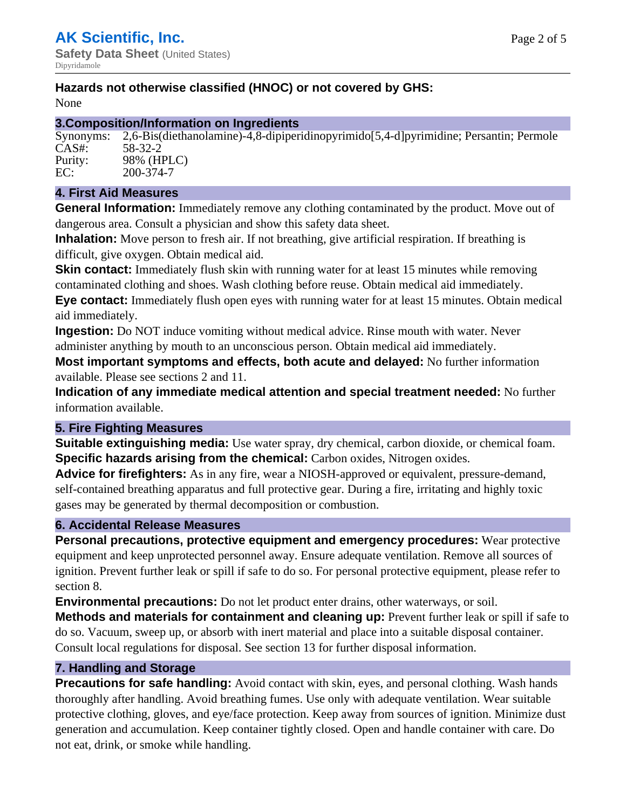# **Hazards not otherwise classified (HNOC) or not covered by GHS:**

None

## **3.Composition/Information on Ingredients**

Synonyms: 2,6-Bis(diethanolamine)-4,8-dipiperidinopyrimido[5,4-d]pyrimidine; Persantin; Permole CAS#: 58-32-2 Purity: 98% (HPLC) EC: 200-374-7

## **4. First Aid Measures**

**General Information:** Immediately remove any clothing contaminated by the product. Move out of dangerous area. Consult a physician and show this safety data sheet.

**Inhalation:** Move person to fresh air. If not breathing, give artificial respiration. If breathing is difficult, give oxygen. Obtain medical aid.

**Skin contact:** Immediately flush skin with running water for at least 15 minutes while removing contaminated clothing and shoes. Wash clothing before reuse. Obtain medical aid immediately. **Eye contact:** Immediately flush open eyes with running water for at least 15 minutes. Obtain medical aid immediately.

**Ingestion:** Do NOT induce vomiting without medical advice. Rinse mouth with water. Never administer anything by mouth to an unconscious person. Obtain medical aid immediately.

**Most important symptoms and effects, both acute and delayed:** No further information available. Please see sections 2 and 11.

**Indication of any immediate medical attention and special treatment needed:** No further information available.

# **5. Fire Fighting Measures**

**Suitable extinguishing media:** Use water spray, dry chemical, carbon dioxide, or chemical foam. **Specific hazards arising from the chemical:** Carbon oxides, Nitrogen oxides.

**Advice for firefighters:** As in any fire, wear a NIOSH-approved or equivalent, pressure-demand, self-contained breathing apparatus and full protective gear. During a fire, irritating and highly toxic gases may be generated by thermal decomposition or combustion.

# **6. Accidental Release Measures**

**Personal precautions, protective equipment and emergency procedures:** Wear protective equipment and keep unprotected personnel away. Ensure adequate ventilation. Remove all sources of ignition. Prevent further leak or spill if safe to do so. For personal protective equipment, please refer to section 8.

**Environmental precautions:** Do not let product enter drains, other waterways, or soil.

**Methods and materials for containment and cleaning up:** Prevent further leak or spill if safe to do so. Vacuum, sweep up, or absorb with inert material and place into a suitable disposal container. Consult local regulations for disposal. See section 13 for further disposal information.

# **7. Handling and Storage**

**Precautions for safe handling:** Avoid contact with skin, eyes, and personal clothing. Wash hands thoroughly after handling. Avoid breathing fumes. Use only with adequate ventilation. Wear suitable protective clothing, gloves, and eye/face protection. Keep away from sources of ignition. Minimize dust generation and accumulation. Keep container tightly closed. Open and handle container with care. Do not eat, drink, or smoke while handling.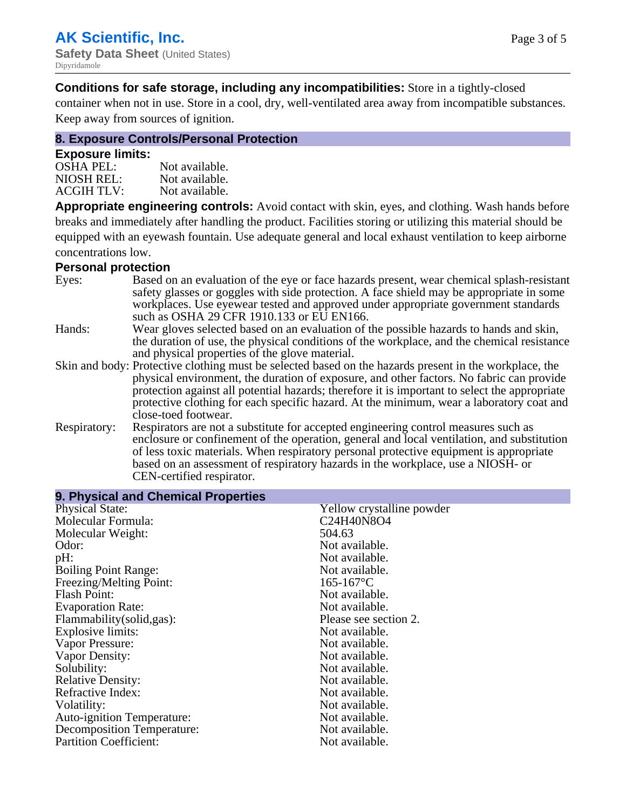**Conditions for safe storage, including any incompatibilities:** Store in a tightly-closed

container when not in use. Store in a cool, dry, well-ventilated area away from incompatible substances. Keep away from sources of ignition.

# **8. Exposure Controls/Personal Protection**

#### **Exposure limits:**

| <b>OSHA PEL:</b>  | Not available. |
|-------------------|----------------|
| NIOSH REL:        | Not available. |
| <b>ACGIH TLV:</b> | Not available. |

**Appropriate engineering controls:** Avoid contact with skin, eyes, and clothing. Wash hands before breaks and immediately after handling the product. Facilities storing or utilizing this material should be equipped with an eyewash fountain. Use adequate general and local exhaust ventilation to keep airborne concentrations low.

#### **Personal protection**

| Eyes:        | Based on an evaluation of the eye or face hazards present, wear chemical splash-resistant<br>safety glasses or goggles with side protection. A face shield may be appropriate in some |
|--------------|---------------------------------------------------------------------------------------------------------------------------------------------------------------------------------------|
|              | workplaces. Use eyewear tested and approved under appropriate government standards<br>such as OSHA 29 CFR 1910.133 or EU EN166.                                                       |
| Hands:       | Wear gloves selected based on an evaluation of the possible hazards to hands and skin,                                                                                                |
|              | the duration of use, the physical conditions of the workplace, and the chemical resistance                                                                                            |
|              | and physical properties of the glove material.                                                                                                                                        |
|              | Skin and body: Protective clothing must be selected based on the hazards present in the workplace, the                                                                                |
|              | physical environment, the duration of exposure, and other factors. No fabric can provide                                                                                              |
|              | protection against all potential hazards; therefore it is important to select the appropriate                                                                                         |
|              | protective clothing for each specific hazard. At the minimum, wear a laboratory coat and                                                                                              |
|              | close-toed footwear.                                                                                                                                                                  |
| Respiratory: | Respirators are not a substitute for accepted engineering control measures such as<br>enclosure or confinement of the operation, general and local ventilation, and substitution      |
|              | of less toxic materials. When respiratory personal protective equipment is appropriate                                                                                                |
|              | based on an assessment of respiratory hazards in the workplace, use a NIOSH- or                                                                                                       |
|              | CEN-certified respirator.                                                                                                                                                             |

| 9. Physical and Chemical Properties |                           |  |
|-------------------------------------|---------------------------|--|
| <b>Physical State:</b>              | Yellow crystalline powder |  |
| Molecular Formula:                  | C24H40N8O4                |  |
| Molecular Weight:                   | 504.63                    |  |
| Odor:                               | Not available.            |  |
| pH:                                 | Not available.            |  |
| <b>Boiling Point Range:</b>         | Not available.            |  |
| Freezing/Melting Point:             | $165 - 167$ °C            |  |
| <b>Flash Point:</b>                 | Not available.            |  |
| <b>Evaporation Rate:</b>            | Not available.            |  |
| Flammability(solid,gas):            | Please see section 2.     |  |
| Explosive limits:                   | Not available.            |  |
| Vapor Pressure:                     | Not available.            |  |
| Vapor Density:                      | Not available.            |  |
| Solubility:                         | Not available.            |  |
| <b>Relative Density:</b>            | Not available.            |  |
| Refractive Index:                   | Not available.            |  |
| Volatility:                         | Not available.            |  |
| <b>Auto-ignition Temperature:</b>   | Not available.            |  |
| <b>Decomposition Temperature:</b>   | Not available.            |  |
| <b>Partition Coefficient:</b>       | Not available.            |  |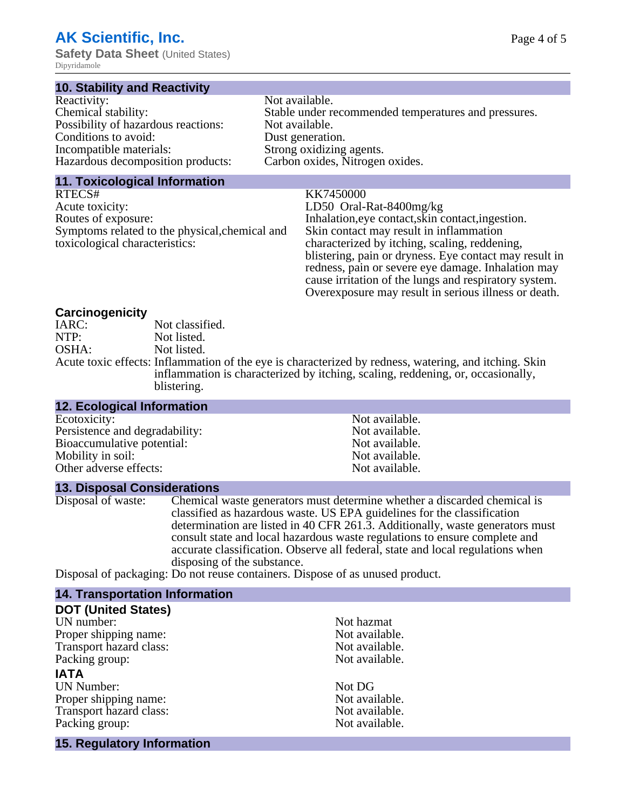# **AK Scientific, Inc.**

**Safety Data Sheet** (United States) Dipyridamole

### **10. Stability and Reactivity**

| Reactivity:                         | Not available.                                       |
|-------------------------------------|------------------------------------------------------|
| Chemical stability:                 | Stable under recommended temperatures and pressures. |
| Possibility of hazardous reactions: | Not available.                                       |
| Conditions to avoid:                | Dust generation.                                     |
| Incompatible materials:             | Strong oxidizing agents.                             |
| Hazardous decomposition products:   | Carbon oxides, Nitrogen oxides.                      |

#### **11. Toxicological Information**

RTECS# KK7450000 Acute toxicity: LD50 Oral-Rat-8400mg/kg<br>Routes of exposure: later and the later of the Inhalation, eye contact, skin c Symptoms related to the physical,chemical and toxicological characteristics:

Not available.

Inhalation,eye contact, skin contact, ingestion. Skin contact may result in inflammation characterized by itching, scaling, reddening, blistering, pain or dryness. Eye contact may result in redness, pain or severe eye damage. Inhalation may cause irritation of the lungs and respiratory system. Overexposure may result in serious illness or death.

# **Carcinogenicity**

IARC: Not classified.<br>
Not listed. NTP:<br>
OSHA: Not listed.<br>
Not listed. Not listed. Acute toxic effects: Inflammation of the eye is characterized by redness, watering, and itching. Skin inflammation is characterized by itching, scaling, reddening, or, occasionally, blistering.

# **12. Ecological Information**

| Persistence and degradability: | Not available. |
|--------------------------------|----------------|
| Bioaccumulative potential:     | Not available. |
| Mobility in soil:              | Not available. |
| Other adverse effects:         | Not available. |

### **13. Disposal Considerations**

Disposal of waste: Chemical waste generators must determine whether a discarded chemical is classified as hazardous waste. US EPA guidelines for the classification determination are listed in 40 CFR 261.3. Additionally, waste generators must consult state and local hazardous waste regulations to ensure complete and accurate classification. Observe all federal, state and local regulations when disposing of the substance.

Disposal of packaging: Do not reuse containers. Dispose of as unused product.

# **14. Transportation Information**

| <b>DOT (United States)</b>        |                |
|-----------------------------------|----------------|
| UN number:                        | Not hazmat     |
| Proper shipping name:             | Not available. |
| Transport hazard class:           | Not available. |
| Packing group:                    | Not available. |
| <b>IATA</b>                       |                |
| <b>UN Number:</b>                 | Not DG         |
| Proper shipping name:             | Not available. |
| Transport hazard class:           | Not available. |
| Packing group:                    | Not available. |
| <b>15. Regulatory Information</b> |                |